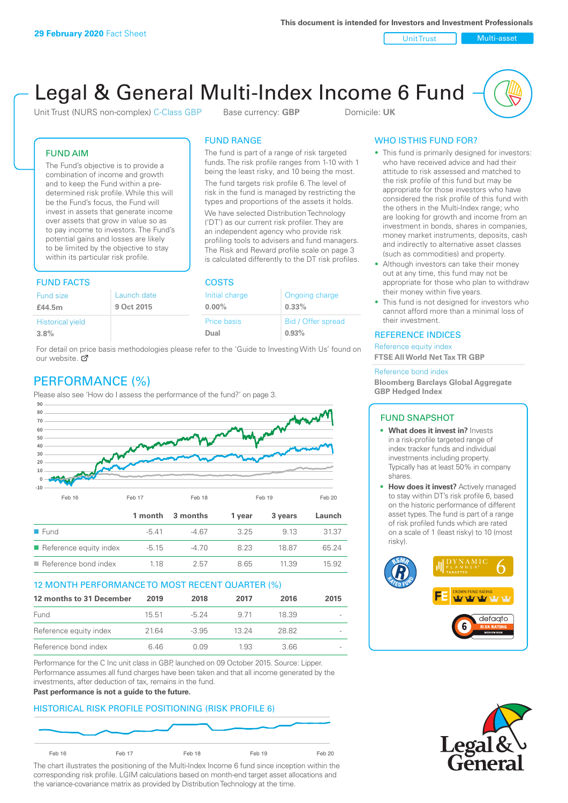Unit Trust Nulti-asset

# Legal & General Multi-Index Income 6 Fund

Unit Trust (NURS non-complex) C-Class GBP Base currency: **GBP** Domicile: UK

The fund is part of a range of risk targeted funds. The risk profile ranges from 1-10 with 1 being the least risky, and 10 being the most. The fund targets risk profile 6. The level of risk in the fund is managed by restricting the types and proportions of the assets it holds. We have selected Distribution Technology ('DT') as our current risk profiler. They are an independent agency who provide risk profiling tools to advisers and fund managers. The Risk and Reward profile scale on page 3 is calculated differently to the DT risk profiles.

FUND RANGE

## FUND AIM

The Fund's objective is to provide a combination of income and growth and to keep the Fund within a predetermined risk profile. While this will be the Fund's focus, the Fund will invest in assets that generate income over assets that grow in value so as to pay income to investors. The Fund's potential gains and losses are likely to be limited by the objective to stay within its particular risk profile.

## FUND FACTS COSTS

| Ongoing charge     |  |  |  |
|--------------------|--|--|--|
| $0.33\%$           |  |  |  |
| Bid / Offer spread |  |  |  |
| 0.93%              |  |  |  |
|                    |  |  |  |

For detail on price basis methodologies please refer to the 'Guide to Investing With Us' found on our website. Ø

# PERFORMANCE (%)

Please also see 'How do I assess the performance of the fund?' on page 3.



## 12 MONTH PERFORMANCE TO MOST RECENT QUARTER (%)

| 12 months to 31 December | 2019  | 2018    | 2017  | 2016  | 2015   |
|--------------------------|-------|---------|-------|-------|--------|
| Fund                     | 15.51 | -5 24   | 9 71  | 18.39 | $\sim$ |
| Reference equity index   | 2164  | $-3.95$ | 13 24 | 28.82 | $\sim$ |
| Reference bond index     | 646   | O 0.9   | 1.93  | 3.66  | $\sim$ |

Performance for the C Inc unit class in GBP, launched on 09 October 2015. Source: Lipper. Performance assumes all fund charges have been taken and that all income generated by the investments, after deduction of tax, remains in the fund.

#### **Past performance is not a guide to the future.**

## HISTORICAL RISK PROFILE POSITIONING (RISK PROFILE 6)



The chart illustrates the positioning of the Multi-Index Income 6 fund since inception within the corresponding risk profile. LGIM calculations based on month-end target asset allocations and the variance-covariance matrix as provided by Distribution Technology at the time.

## WHO IS THIS FUND FOR?

- This fund is primarily designed for investors: who have received advice and had their attitude to risk assessed and matched to the risk profile of this fund but may be appropriate for those investors who have considered the risk profile of this fund with the others in the Multi-Index range; who are looking for growth and income from an investment in bonds, shares in companies, money market instruments, deposits, cash and indirectly to alternative asset classes (such as commodities) and property.
- Although investors can take their money out at any time, this fund may not be appropriate for those who plan to withdraw their money within five years.
- This fund is not designed for investors who cannot afford more than a minimal loss of their investment.

## REFERENCE INDICES

Reference equity index **FTSE All World Net Tax TR GBP**

#### Reference bond index

**Bloomberg Barclays Global Aggregate GBP Hedged Index**

## FUND SNAPSHOT

- **• What does it invest in?** Invests in a risk-profile targeted range of index tracker funds and individual investments including property. Typically has at least 50% in company shares.
- **• How does it invest?** Actively managed to stay within DT's risk profile 6, based on the historic performance of different asset types. The fund is part of a range of risk profiled funds which are rated on a scale of 1 (least risky) to 10 (most risky).



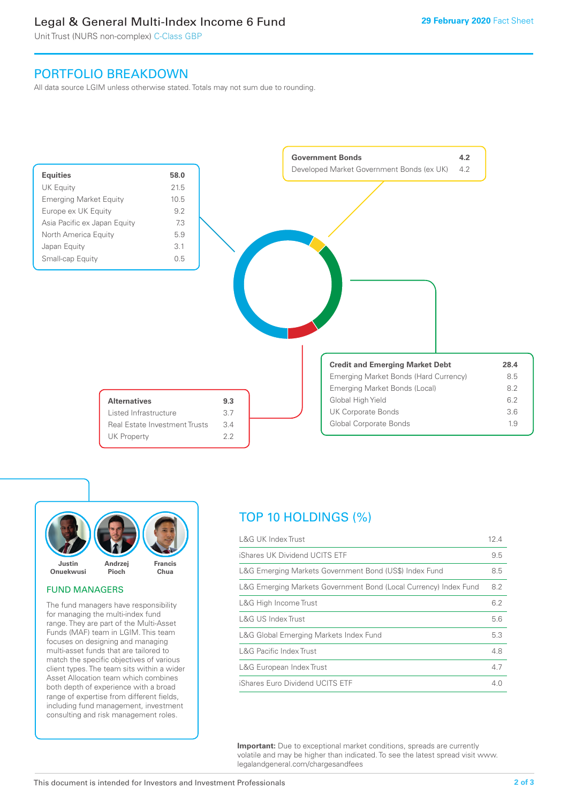# Legal & General Multi-Index Income 6 Fund

Unit Trust (NURS non-complex) C-Class GBP

## PORTFOLIO BREAKDOWN

All data source LGIM unless otherwise stated. Totals may not sum due to rounding.





## FUND MANAGERS

The fund managers have responsibility for managing the multi-index fund range. They are part of the Multi-Asset Funds (MAF) team in LGIM. This team focuses on designing and managing multi-asset funds that are tailored to match the specific objectives of various client types. The team sits within a wider Asset Allocation team which combines both depth of experience with a broad range of expertise from different fields, including fund management, investment consulting and risk management roles.

# TOP 10 HOLDINGS (%)

| <b>L&amp;G UK Index Trust</b>                                    | 12.4 |
|------------------------------------------------------------------|------|
| iShares UK Dividend UCITS ETF                                    | 9.5  |
| L&G Emerging Markets Government Bond (US\$) Index Fund           | 8.5  |
| L&G Emerging Markets Government Bond (Local Currency) Index Fund | 8.2  |
| L&G High Income Trust                                            | 6.2  |
| L&G US Index Trust                                               | 5.6  |
| L&G Global Emerging Markets Index Fund                           | 5.3  |
| <b>L&amp;G Pacific Index Trust</b>                               | 4.8  |
| L&G European Index Trust                                         | 4.7  |
| iShares Euro Dividend UCITS ETF                                  | 4.0  |

**Important:** Due to exceptional market conditions, spreads are currently volatile and may be higher than indicated. To see the latest spread visit www. legalandgeneral.com/chargesandfees